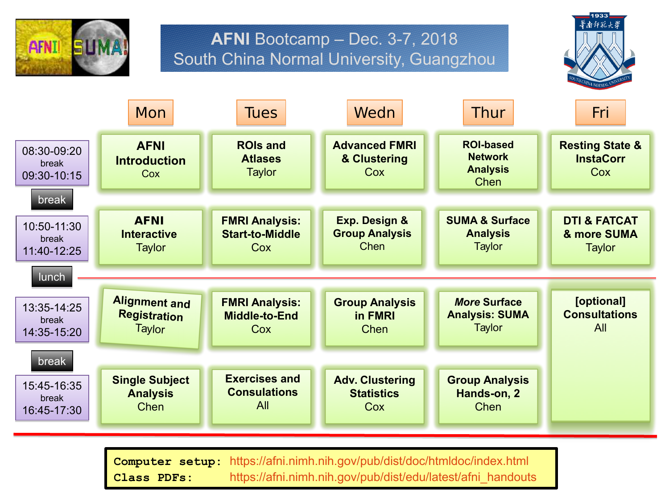

## **AFNI** Bootcamp – Dec. 3-7, 2018 South China Normal University, Guangzhou



|                                              | Mon                                                     | <b>Tues</b>                                               | Wedn                                                      | Thur                                                                 | Fri                                                     |
|----------------------------------------------|---------------------------------------------------------|-----------------------------------------------------------|-----------------------------------------------------------|----------------------------------------------------------------------|---------------------------------------------------------|
| 08:30-09:20<br>break<br>09:30-10:15          | <b>AFNI</b><br><b>Introduction</b><br>Cox               | <b>ROIs and</b><br><b>Atlases</b><br><b>Taylor</b>        | <b>Advanced FMRI</b><br>& Clustering<br>Cox               | <b>ROI-based</b><br><b>Network</b><br><b>Analysis</b><br><b>Chen</b> | <b>Resting State &amp;</b><br><b>InstaCorr</b><br>Cox   |
| break<br>10:50-11:30<br>break<br>11:40-12:25 | <b>AFNI</b><br><b>Interactive</b><br><b>Taylor</b>      | <b>FMRI Analysis:</b><br><b>Start-to-Middle</b><br>Cox    | <b>Exp. Design &amp;</b><br><b>Group Analysis</b><br>Chen | <b>SUMA &amp; Surface</b><br><b>Analysis</b><br><b>Taylor</b>        | <b>DTI &amp; FATCAT</b><br>& more SUMA<br><b>Taylor</b> |
| lunch                                        |                                                         |                                                           |                                                           |                                                                      |                                                         |
| 13:35-14:25<br>break<br>14:35-15:20          | <b>Alignment and</b><br><b>Registration</b><br>Taylor   | <b>FMRI Analysis:</b><br><b>Middle-to-End</b><br>Cox      | <b>Group Analysis</b><br>in FMRI<br><b>Chen</b>           | <b>More Surface</b><br><b>Analysis: SUMA</b><br><b>Taylor</b>        | [optional]<br><b>Consultations</b><br>All               |
| break                                        |                                                         |                                                           |                                                           |                                                                      |                                                         |
| 15:45-16:35<br>break<br>16:45-17:30          | <b>Single Subject</b><br><b>Analysis</b><br><b>Chen</b> | <b>Exercises and</b><br><b>Consulations</b><br><b>All</b> | <b>Adv. Clustering</b><br><b>Statistics</b><br>Cox        | <b>Group Analysis</b><br>Hands-on, 2<br><b>Chen</b>                  |                                                         |

**Computer setup:** <https://afni.nimh.nih.gov/pub/dist/doc/htmldoc/index.html> **Class PDFs:** [https://afni.nimh.nih.gov/pub/dist/edu/latest/afni\\_handouts](https://afni.nimh.nih.gov/pub/dist/edu/latest/afni_handouts)